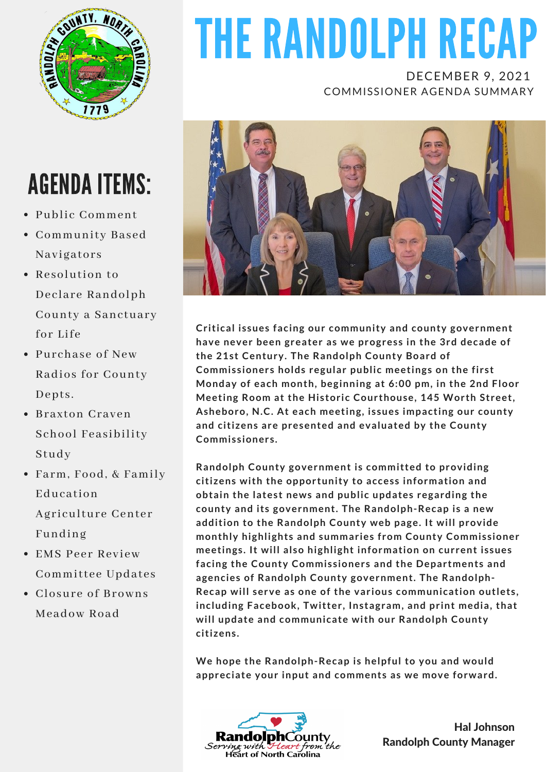

# THE RANDOLPH RECAP

DECEMBER 9, 2021 COMMISSIONER AGENDA SUMMARY



**Critical issues facing our community and county government have never been greater as we progress in the 3rd decade of the 21st Century. The Randolph County Board of Commissioners holds regular public meetings on the first Monday of each month, beginning at 6:00 pm, in the 2nd Floor Meeting Room at the Historic Courthouse, 145 Worth Street, Asheboro, N.C. At each meeting, issues impacting our county and citizens are presented and evaluated by the County Commissioners.**

**Randolph County government is committed to providing citizens with the opportunity to access information and obtain the latest news and public updates regarding the county and its government. The Randolph-Recap is a new addition to the Randolph County web page. It will provide monthly highlights and summaries from County Commissioner meetings. It will also highlight information on current issues facing the County Commissioners and the Departments and agencies of Randolph County government. The Randolph-Recap will serve as one of the various communication outlets, including Facebook, Twitter, Instagram, and print media, that will update and communicate with our Randolph County citizens.**

**We hope the Randolph-Recap is helpful to you and would appreciate your input and comments as we move forward.**



Hal Johnson Randolph County Manager

## AGENDA ITEMS:

- Public Comment
- Community Based Navigators
- Resolution to Declare Randolph County a Sanctuary for Life
- Purchase of New Radios for County Depts.
- Braxton Craven School Feasibility Study
- Farm, Food, & Family Education Agriculture Center Funding
- EMS Peer Review Committee Updates
- Closure of Browns Meadow Road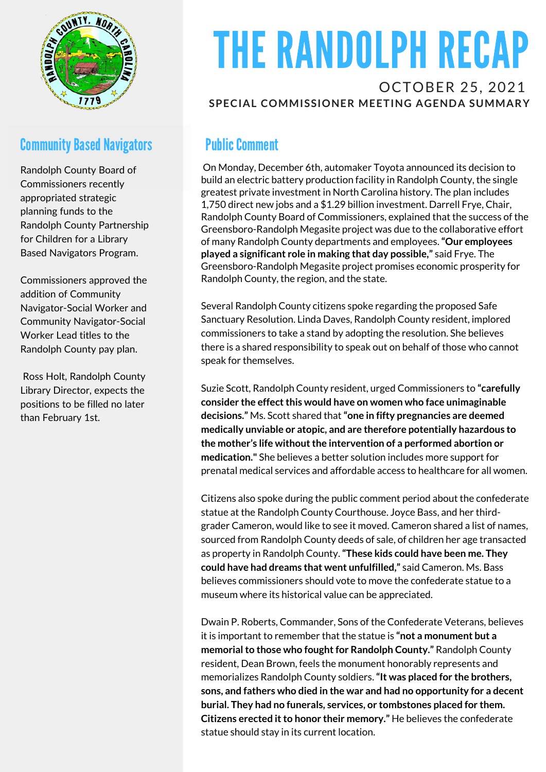

### **Community Based Navigators**

Randolph County Board of Commissioners recently appropriated strategic planning funds to the Randolph County Partnership for Children for a Library Based Navigators Program.

Commissioners approved the addition of Community Navigator-Social Worker and Community Navigator-Social Worker Lead titles to the Randolph County pay plan.

Ross Holt, Randolph County Library Director, expects the positions to be filled no later than February 1st.

## THE RANDOLPH RECAP

#### OCTOBER 25, 2021 **SPECIAL COMMISSIONER MEETING AGENDA SUMMARY**

### **Public Comment**

On Monday, December 6th, automaker Toyota announced its decision to build an electric battery production facility in Randolph County, the single greatest private investment in North Carolina history. The plan includes 1,750 direct new jobs and a \$1.29 billion investment. Darrell Frye, Chair, Randolph County Board of Commissioners, explained that the success of the Greensboro-Randolph Megasite project was due to the collaborative effort of many Randolph County departments and employees.**"Our employees played a significant role in making that day possible,"** said Frye. The Greensboro-Randolph Megasite project promises economic prosperity for Randolph County, the region, and the state.

Several Randolph County citizens spoke regarding the proposed Safe Sanctuary Resolution. Linda Daves, Randolph County resident, implored commissioners to take a stand by adopting the resolution. She believes there is a shared responsibility to speak out on behalf of those who cannot speak for themselves.

Suzie Scott, Randolph County resident, urged Commissioners to **"carefully consider the effectthis would have on women who face unimaginable decisions."** Ms. Scott shared that**"one in fifty pregnancies are deemed medically unviable or atopic, and are therefore potentially hazardous to the mother's life withoutthe intervention of a performed abortion or medication."** She believes a better solution includes more support for prenatal medical services and affordable access to healthcare for all women.

Citizens also spoke during the public comment period about the confederate statue at the Randolph County Courthouse. Joyce Bass, and her thirdgrader Cameron, would like to see it moved. Cameron shared a list of names, sourced from Randolph County deeds of sale, of children her age transacted as property in Randolph County.**"These kids could have been me. They could have had dreams that went unfulfilled,"** said Cameron. Ms. Bass believes commissioners should vote to move the confederate statue to a museum where its historical value can be appreciated.

Dwain P. Roberts, Commander, Sons of the Confederate Veterans, believes it is important to remember that the statue is **"not a monument but a memorial to those who fought for Randolph County."** Randolph County resident, Dean Brown, feels the monument honorably represents and memorializes Randolph County soldiers.**"It was placed for the brothers, sons, and fathers who died in the war and had no opportunity for a decent burial. They had no funerals, services, or tombstones placed for them. Citizens erected itto honor their memory."** He believes the confederate statue should stay in its current location.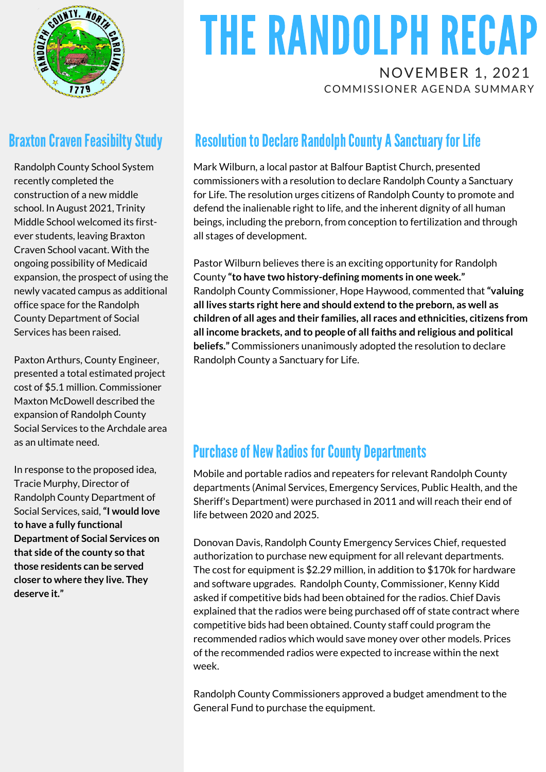

### **Braxton Craven Feasibilty Study**

Randolph County School System recently completed the construction of a new middle school. In August 2021, Trinity Middle School welcomed its firstever students, leaving Braxton Craven School vacant. With the ongoing possibility of Medicaid expansion, the prospect of using the newly vacated campus as additional office space for the Randolph County Department of Social Services has been raised.

Paxton Arthurs, County Engineer, presented a total estimated project cost of \$5.1 million. Commissioner Maxton McDowell described the expansion of Randolph County Social Services to the Archdale area as an ultimate need.

In response to the proposed idea, Tracie Murphy, Director of Randolph County Department of Social Services, said,**"I would love to have a fully functional Department of Social Services on that side ofthe county so that those residents can be served closer to where they live. They deserve it."**

# THE RANDOLPH RECAP

NOVEMBER 1, 2021 COMMISSIONER AGENDA SUMMARY

### **Resolution to Declare Randolph County A Sanctuary for Life**

Mark Wilburn, a local pastor at Balfour Baptist Church, presented commissioners with a resolution to declare Randolph County a Sanctuary for Life. The resolution urges citizens of Randolph County to promote and defend the inalienable right to life, and the inherent dignity of all human beings, including the preborn, from conception to fertilization and through all stages of development.

Pastor Wilburn believes there is an exciting opportunity for Randolph County **"to have two history-defining moments in one week."** Randolph County Commissioner, Hope Haywood, commented that**"valuing all lives starts right here and should extend to the preborn, as well as children of all ages and their families, all races and ethnicities, citizens from all income brackets, and to people of all faiths and religious and political beliefs."** Commissioners unanimously adopted the resolution to declare Randolph County a Sanctuary for Life.

### **Purchase of New Radios for County Departments**

Mobile and portable radios and repeaters for relevant Randolph County departments (Animal Services, Emergency Services, Public Health, and the Sheriff's Department) were purchased in 2011 and will reach their end of life between 2020 and 2025.

Donovan Davis, Randolph County Emergency Services Chief, requested authorization to purchase new equipment for all relevant departments. The cost for equipment is \$2.29 million, in addition to \$170k for hardware and software upgrades. Randolph County, Commissioner, Kenny Kidd asked if competitive bids had been obtained for the radios. Chief Davis explained that the radios were being purchased off of state contract where competitive bids had been obtained. County staff could program the recommended radios which would save money over other models. Prices of the recommended radios were expected to increase within the next week.

Randolph County Commissioners approved a budget amendment to the General Fund to purchase the equipment.